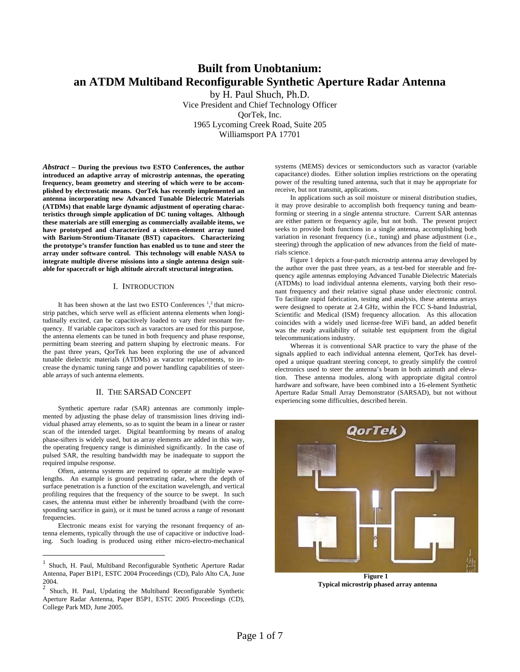# **Built from Unobtanium: an ATDM Multiband Reconfigurable Synthetic Aperture Radar Antenna**

by H. Paul Shuch, Ph.D. Vice President and Chief Technology Officer QorTek, Inc. 1965 Lycoming Creek Road, Suite 205 Williamsport PA 17701

*Abstract* **– During the previous two ESTO Conferences, the author introduced an adaptive array of microstrip antennas, the operating frequency, beam geometry and steering of which were to be accomplished by electrostatic means. QorTek has recently implemented an antenna incorporating new Advanced Tunable Dielectric Materials (ATDMs) that enable large dynamic adjustment of operating characteristics through simple application of DC tuning voltages. Although these materials are still emerging as commercially available items, we have prototyped and characterized a sixteen-element array tuned with Barium-Strontium-Titanate (BST) capacitors. Characterizing the prototype's transfer function has enabled us to tune and steer the array under software control. This technology will enable NASA to integrate multiple diverse missions into a single antenna design suitable for spacecraft or high altitude aircraft structural integration.** 

# I. INTRODUCTION

It has been shown at the last two ESTO Conferences  $\frac{1}{2}$  that microstrip patches, which serve well as efficient antenna elements when longitudinally excited, can be capacitively loaded to vary their resonant frequency. If variable capacitors such as varactors are used for this purpose, the antenna elements can be tuned in both frequency and phase response, permitting beam steering and pattern shaping by electronic means. For the past three years, QorTek has been exploring the use of advanced tunable dielectric materials (ATDMs) as varactor replacements, to increase the dynamic tuning range and power handling capabilities of steerable arrays of such antenna elements.

# II. THE SARSAD CONCEPT

Synthetic aperture radar (SAR) antennas are commonly implemented by adjusting the phase delay of transmission lines driving individual phased array elements, so as to squint the beam in a linear or raster scan of the intended target. Digital beamforming by means of analog phase-sifters is widely used, but as array elements are added in this way, the operating frequency range is diminished significantly. In the case of pulsed SAR, the resulting bandwidth may be inadequate to support the required impulse response.

Often, antenna systems are required to operate at multiple wavelengths. An example is ground penetrating radar, where the depth of surface penetration is a function of the excitation wavelength, and vertical profiling requires that the frequency of the source to be swept. In such cases, the antenna must either be inherently broadband (with the corresponding sacrifice in gain), or it must be tuned across a range of resonant frequencies.

Electronic means exist for varying the resonant frequency of antenna elements, typically through the use of capacitive or inductive loading. Such loading is produced using either micro-electro-mechanical

 $\overline{a}$ 

systems (MEMS) devices or semiconductors such as varactor (variable capacitance) diodes. Either solution implies restrictions on the operating power of the resulting tuned antenna, such that it may be appropriate for receive, but not transmit, applications.

In applications such as soil moisture or mineral distribution studies, it may prove desirable to accomplish both frequency tuning and beamforming or steering in a single antenna structure. Current SAR antennas are either pattern or frequency agile, but not both. The present project seeks to provide both functions in a single antenna, accomplishing both variation in resonant frequency (i.e., tuning) and phase adjustment (i.e., steering) through the application of new advances from the field of materials science.

Figure 1 depicts a four-patch microstrip antenna array developed by the author over the past three years, as a test-bed for steerable and frequency agile antennas employing Advanced Tunable Dielectric Materials (ATDMs) to load individual antenna elements, varying both their resonant frequency and their relative signal phase under electronic control. To facilitate rapid fabrication, testing and analysis, these antenna arrays were designed to operate at 2.4 GHz, within the FCC S-band Industrial, Scientific and Medical (ISM) frequency allocation. As this allocation coincides with a widely used license-free WiFi band, an added benefit was the ready availability of suitable test equipment from the digital telecommunications industry.

Whereas it is conventional SAR practice to vary the phase of the signals applied to each individual antenna element, QorTek has developed a unique quadrant steering concept, to greatly simplify the control electronics used to steer the antenna's beam in both azimuth and elevation. These antenna modules, along with appropriate digital control hardware and software, have been combined into a 16-element Synthetic Aperture Radar Small Array Demonstrator (SARSAD), but not without experiencing some difficulties, described herein.



**Figure 1 Typical microstrip phased array antenna** 

<sup>1</sup> Shuch, H. Paul, Multiband Reconfigurable Synthetic Aperture Radar Antenna, Paper B1P1, ESTC 2004 Proceedings (CD), Palo Alto CA, June 2004.

<sup>2</sup> Shuch, H. Paul, Updating the Multiband Reconfigurable Synthetic Aperture Radar Antenna, Paper B5P1, ESTC 2005 Proceedings (CD), College Park MD, June 2005.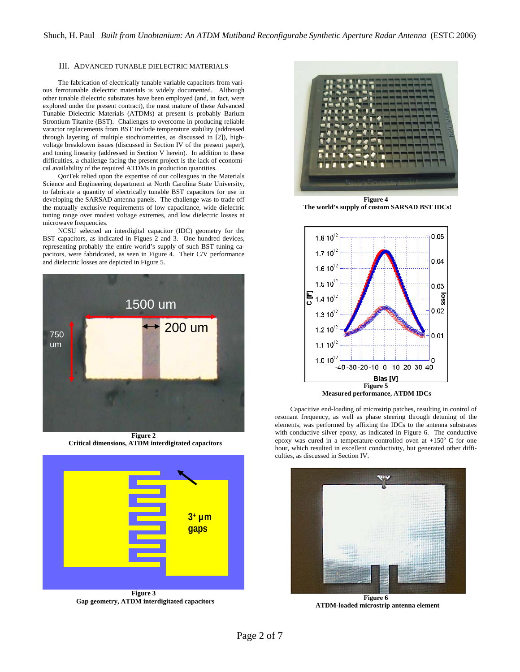### III. ADVANCED TUNABLE DIELECTRIC MATERIALS

The fabrication of electrically tunable variable capacitors from various ferrotunable dielectric materials is widely documented. Although other tunable dielectric substrates have been employed (and, in fact, were explored under the present contract), the most mature of these Advanced Tunable Dielectric Materials (ATDMs) at present is probably Barium Strontium Titanite (BST). Challenges to overcome in producing reliable varactor replacements from BST include temperature stability (addressed through layering of multiple stochiometries, as discussed in [2]), highvoltage breakdown issues (discussed in Section IV of the present paper), and tuning linearity (addressed in Section V herein). In addition to these difficulties, a challenge facing the present project is the lack of economical availability of the required ATDMs in production quantities.

QorTek relied upon the expertise of our colleagues in the Materials Science and Engineering department at North Carolina State University, to fabricate a quantity of electrically tunable BST capacitors for use in developing the SARSAD antenna panels. The challenge was to trade off the mutually exclusive requirements of low capacitance, wide dielectric tuning range over modest voltage extremes, and low dielectric losses at microwave frequencies.

NCSU selected an interdigital capacitor (IDC) geometry for the BST capacitors, as indicated in Figues 2 and 3. One hundred devices, representing probably the entire world's supply of such BST tuning capacitors, were fabridcated, as seen in Figure 4. Their C/V performance and dielectric losses are depicted in Figure 5.



 **Critical dimensions, ATDM interdigitated capacitors** 



 **Gap geometry, ATDM interdigitated capacitors** 



**Figure 4 The world's supply of custom SARSAD BST IDCs!** 



Capacitive end-loading of microstrip patches, resulting in control of resonant frequency, as well as phase steering through detuning of the elements, was performed by affixing the IDCs to the antenna substrates with conductive silver epoxy, as indicated in Figure 6. The conductive epoxy was cured in a temperature-controlled oven at  $+150^{\circ}$  C for one hour, which resulted in excellent conductivity, but generated other difficulties, as discussed in Section IV.



**Figure 6 ATDM-loaded microstrip antenna element**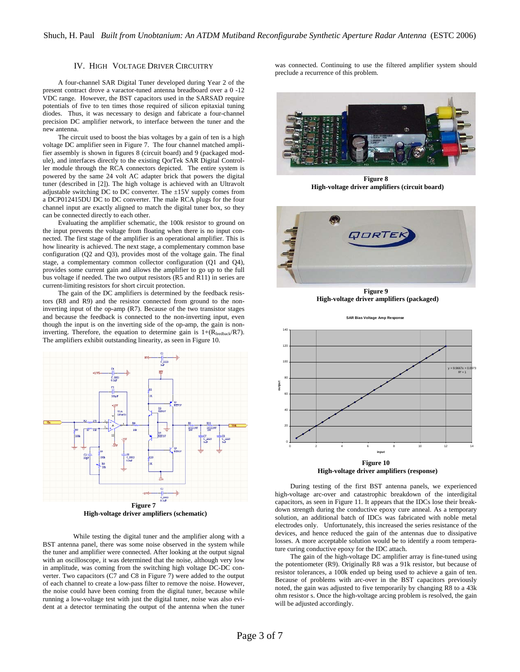# IV. HIGH VOLTAGE DRIVER CIRCUITRY

A four-channel SAR Digital Tuner developed during Year 2 of the present contract drove a varactor-tuned antenna breadboard over a 0 -12 VDC range. However, the BST capacitors used in the SARSAD require potentials of five to ten times those required of silicon epitaxial tuning diodes. Thus, it was necessary to design and fabricate a four-channel precision DC amplifier network, to interface between the tuner and the new antenna.

The circuit used to boost the bias voltages by a gain of ten is a high voltage DC amplifier seen in Figure 7. The four channel matched amplifier assembly is shown in figures 8 (circuit board) and 9 (packaged module), and interfaces directly to the existing QorTek SAR Digital Controller module through the RCA connectors depicted. The entire system is powered by the same 24 volt AC adapter brick that powers the digital tuner (described in [2]). The high voltage is achieved with an Ultravolt adjustable switching DC to DC converter. The ±15V supply comes from a DCP012415DU DC to DC converter. The male RCA plugs for the four channel input are exactly aligned to match the digital tuner box, so they can be connected directly to each other.

Evaluating the amplifier schematic, the 100k resistor to ground on the input prevents the voltage from floating when there is no input connected. The first stage of the amplifier is an operational amplifier. This is how linearity is achieved. The next stage, a complementary common base configuration (Q2 and Q3), provides most of the voltage gain. The final stage, a complementary common collector configuration (Q1 and Q4), provides some current gain and allows the amplifier to go up to the full bus voltage if needed. The two output resistors (R5 and R11) in series are current-limiting resistors for short circuit protection.

The gain of the DC amplifiers is determined by the feedback resistors (R8 and R9) and the resistor connected from ground to the noninverting input of the op-amp (R7). Because of the two transistor stages and because the feedback is connected to the non-inverting input, even though the input is on the inverting side of the op-amp, the gain is noninverting. Therefore, the equation to determine gain is  $1+(R_{\text{feedback}}/RT)$ . The amplifiers exhibit outstanding linearity, as seen in Figure 10.



While testing the digital tuner and the amplifier along with a BST antenna panel, there was some noise observed in the system while the tuner and amplifier were connected. After looking at the output signal with an oscilloscope, it was determined that the noise, although very low in amplitude, was coming from the switching high voltage DC-DC converter. Two capacitors (C7 and C8 in Figure 7) were added to the output of each channel to create a low-pass filter to remove the noise. However, the noise could have been coming from the digital tuner, because while running a low-voltage test with just the digital tuner, noise was also evident at a detector terminating the output of the antenna when the tuner

was connected. Continuing to use the filtered amplifier system should preclude a recurrence of this problem.



**Figure 8 High-voltage driver amplifiers (circuit board)** 



**Figure 9 High-voltage driver amplifiers (packaged)** 

**SAR Bias Voltage Amp Response**



 **High-voltage driver amplifiers (response)** 

During testing of the first BST antenna panels, we experienced high-voltage arc-over and catastrophic breakdown of the interdigital capacitors, as seen in Figure 11. It appears that the IDCs lose their breakdown strength during the conductive epoxy cure anneal. As a temporary solution, an additional batch of IDCs was fabricated with noble metal electrodes only. Unfortunately, this increased the series resistance of the devices, and hence reduced the gain of the antennas due to dissipative losses. A more acceptable solution would be to identify a room temperature curing conductive epoxy for the IDC attach.

The gain of the high-voltage DC amplifier array is fine-tuned using the potentiometer (R9). Originally R8 was a 91k resistor, but because of resistor tolerances, a 100k ended up being used to achieve a gain of ten. Because of problems with arc-over in the BST capacitors previously noted, the gain was adjusted to five temporarily by changing R8 to a 43k ohm resistor s. Once the high-voltage arcing problem is resolved, the gain will be adjusted accordingly.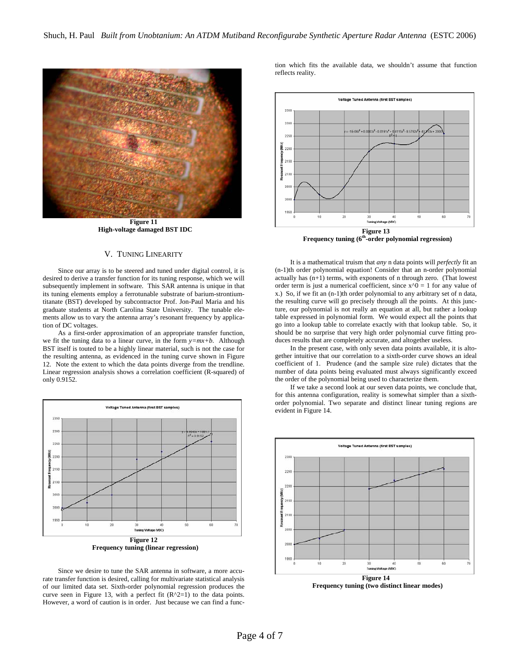

**Figure 11 High-voltage damaged BST IDC** 

# V. TUNING LINEARITY

Since our array is to be steered and tuned under digital control, it is desired to derive a transfer function for its tuning response, which we will subsequently implement in software. This SAR antenna is unique in that its tuning elements employ a ferrotunable substrate of barium-strontiumtitanate (BST) developed by subcontractor Prof. Jon-Paul Maria and his graduate students at North Carolina State University. The tunable elements allow us to vary the antenna array's resonant frequency by application of DC voltages.

As a first-order approximation of an appropriate transfer function, we fit the tuning data to a linear curve, in the form *y=mx+b*. Although BST itself is touted to be a highly linear material, such is not the case for the resulting antenna, as evidenced in the tuning curve shown in Figure 12. Note the extent to which the data points diverge from the trendline. Linear regression analysis shows a correlation coefficient (R-squared) of only 0.9152.



Since we desire to tune the SAR antenna in software, a more accurate transfer function is desired, calling for multivariate statistical analysis of our limited data set. Sixth-order polynomial regression produces the curve seen in Figure 13, with a perfect fit  $(R^2=1)$  to the data points. However, a word of caution is in order. Just because we can find a func-

tion which fits the available data, we shouldn't assume that function reflects reality.



 **Frequency tuning (6th-order polynomial regression)** 

It is a mathematical truism that *any* n data points will *perfectly* fit an (n-1)th order polynomial equation! Consider that an n-order polynomial actually has  $(n+1)$  terms, with exponents of n through zero. (That lowest order term is just a numerical coefficient, since  $x^0 = 1$  for any value of x.) So, if we fit an (n-1)th order polynomial to any arbitrary set of n data, the resulting curve will go precisely through all the points. At this juncture, our polynomial is not really an equation at all, but rather a lookup table expressed in polynomial form. We would expect all the points that go into a lookup table to correlate exactly with that lookup table. So, it should be no surprise that very high order polynomial curve fitting produces results that are completely accurate, and altogether useless.

In the present case, with only seven data points available, it is altogether intuitive that our correlation to a sixth-order curve shows an ideal coefficient of 1. Prudence (and the sample size rule) dictates that the number of data points being evaluated must always significantly exceed the order of the polynomial being used to characterize them.

If we take a second look at our seven data points, we conclude that, for this antenna configuration, reality is somewhat simpler than a sixthorder polynomial. Two separate and distinct linear tuning regions are evident in Figure 14.



 **Frequency tuning (two distinct linear modes)**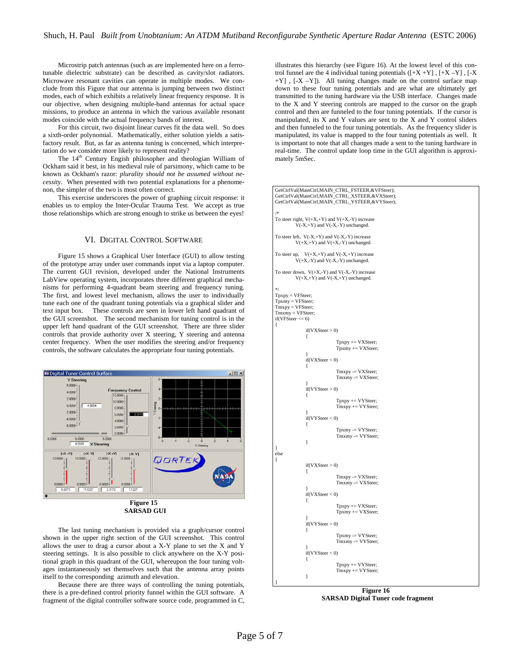Microstrip patch antennas (such as are implemented here on a ferrotunable dielectric substrate) can be described as cavity/slot radiators. Microwave resonant cavities can operate in multiple modes. We conclude from this Figure that our antenna is jumping between two distinct modes, each of which exhibits a relatively linear frequency response. It is our objective, when designing multiple-band antennas for actual space missions, to produce an antenna in which the various available resonant modes coincide with the actual frequency bands of interest.

For this circuit, two disjoint linear curves fit the data well. So does a sixth-order polynomial. Mathematically, either solution yields a satisfactory result. But, as far as antenna tuning is concerned, which interpretation do we consider more likely to represent reality?

The 14<sup>th</sup> Century Engish philosopher and theologian William of Ockham said it best, in his medieval rule of parsimony, which came to be known as Ockham's razor: *plurality should not be assumed without necessity*. When presented with two potential explanations for a phenomenon, the simpler of the two is most often correct.

This exercise underscores the power of graphing circuit response: it enables us to employ the Inter-Ocular Trauma Test. We accept as true those relationships which are strong enough to strike us between the eyes!

#### VI. DIGITAL CONTROL SOFTWARE

Figure 15 shows a Graphical User Interface (GUI) to allow testing of the prototype array under user commands input via a laptop computer. The current GUI revision, developed under the National Instruments LabView operating system, incorporates three different graphical mechanisms for performing 4-quadrant beam steering and frequency tuning. The first, and lowest level mechanism, allows the user to individually tune each one of the quadrant tuning potentials via a graphical slider and text input box. These controls are seen in lower left hand quadrant of the GUI screenshot. The second mechanism for tuning control is in the upper left hand quadrant of the GUI screenshot. There are three slider controls that provide authority over X steering, Y steering and antenna center frequency. When the user modifies the steering and/or frequency controls, the software calculates the appropriate four tuning potentials.



 **SARSAD GUI** 

The last tuning mechanism is provided via a graph/cursor control shown in the upper right section of the GUI screenshot. This control allows the user to drag a cursor about a X-Y plane to set the X and Y steering settings. It is also possible to click anywhere on the X-Y positional graph in this quadrant of the GUI, whereupon the four tuning voltages instantaneously set themselves such that the antenna array points itself to the corresponding azimuth and elevation.

Because there are three ways of controlling the tuning potentials, there is a pre-defined control priority funnel within the GUI software. A fragment of the digital controller software source code, programmed in C,

illustrates this hierarchy (see Figure 16). At the lowest level of this control funnel are the 4 individual tuning potentials  $([+X+Y], [+X-Y]$ ,  $[-X]$ +Y] , [-X –Y]). All tuning changes made on the control surface map down to these four tuning potentials and are what are ultimately get transmitted to the tuning hardware via the USB interface. Changes made to the X and Y steering controls are mapped to the cursor on the graph control and then are funneled to the four tuning potentials. If the cursor is manipulated, its X and Y values are sent to the X and Y control sliders and then funneled to the four tuning potentials. As the frequency slider is manipulated, its value is mapped to the four tuning potentials as well. It is important to note that all changes made a sent to the tuning hardware in real-time. The control update loop time in the GUI algorithm is approximately 5mSec.



 **SARSAD Digital Tuner code fragment**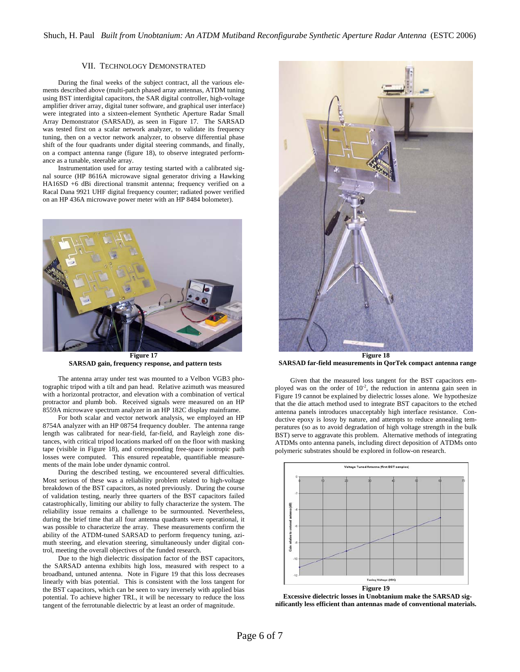# VII. TECHNOLOGY DEMONSTRATED

During the final weeks of the subject contract, all the various elements described above (multi-patch phased array antennas, ATDM tuning using BST interdigital capacitors, the SAR digital controller, high-voltage amplifier driver array, digital tuner software, and graphical user interface) were integrated into a sixteen-element Synthetic Aperture Radar Small Array Demonstrator (SARSAD), as seen in Figure 17. The SARSAD was tested first on a scalar network analyzer, to validate its frequency tuning, then on a vector network analyzer, to observe differential phase shift of the four quadrants under digital steering commands, and finally, on a compact antenna range (figure 18), to observe integrated performance as a tunable, steerable array.

Instrumentation used for array testing started with a calibrated signal source (HP 8616A microwave signal generator driving a Hawking HA16SD +6 dBi directional transmit antenna; frequency verified on a Racal Dana 9921 UHF digital frequency counter; radiated power verified on an HP 436A microwave power meter with an HP 8484 bolometer).



**Figure 17 SARSAD gain, frequency response, and pattern tests** 

The antenna array under test was mounted to a Velbon VGB3 photographic tripod with a tilt and pan head. Relative azimuth was measured with a horizontal protractor, and elevation with a combination of vertical protractor and plumb bob. Received signals were measured on an HP 8559A microwave spectrum analyzer in an HP 182C display mainframe.

For both scalar and vector network analysis, we employed an HP 8754A analyzer with an HP 08754 frequency doubler. The antenna range length was calibrated for near-field, far-field, and Rayleigh zone distances, with critical tripod locations marked off on the floor with masking tape (visible in Figure 18), and corresponding free-space isotropic path losses were computed. This ensured repeatable, quantifiable measurements of the main lobe under dynamic control.

During the described testing, we encountered several difficulties. Most serious of these was a reliability problem related to high-voltage breakdown of the BST capacitors, as noted previously. During the course of validation testing, nearly three quarters of the BST capacitors failed catastrophically, limiting our ability to fully characterize the system. The reliability issue remains a challenge to be surmounted. Nevertheless, during the brief time that all four antenna quadrants were operational, it was possible to characterize the array. These measurements confirm the ability of the ATDM-tuned SARSAD to perform frequency tuning, azimuth steering, and elevation steering, simultaneously under digital control, meeting the overall objectives of the funded research.

Due to the high dielectric dissipation factor of the BST capacitors, the SARSAD antenna exhibits high loss, measured with respect to a broadband, untuned antenna. Note in Figure 19 that this loss decreases linearly with bias potential. This is consistent with the loss tangent for the BST capacitors, which can be seen to vary inversely with applied bias potential. To achieve higher TRL, it will be necessary to reduce the loss tangent of the ferrotunable dielectric by at least an order of magnitude.



 **SARSAD far-field measurements in QorTek compact antenna range** 

Given that the measured loss tangent for the BST capacitors employed was on the order of  $10^{-2}$ , the reduction in antenna gain seen in Figure 19 cannot be explained by dielectric losses alone. We hypothesize that the die attach method used to integrate BST capacitors to the etched antenna panels introduces unacceptably high interface resistance. Conductive epoxy is lossy by nature, and attempts to reduce annealing temperatures (so as to avoid degradation of high voltage strength in the bulk BST) serve to aggravate this problem. Alternative methods of integrating ATDMs onto antenna panels, including direct deposition of ATDMs onto polymeric substrates should be explored in follow-on research.